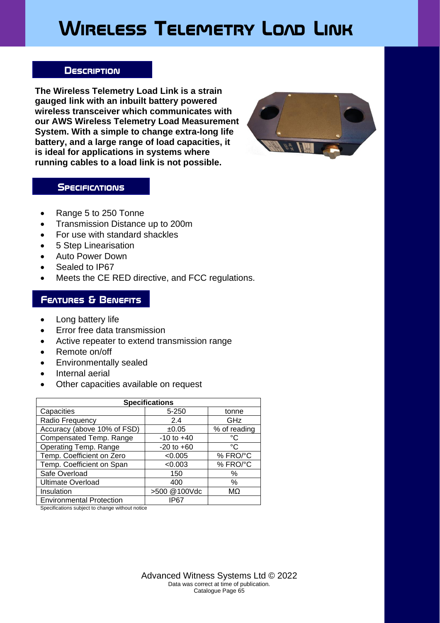# **Wireless Telemetry Load Link**

#### **Description**

**The Wireless Telemetry Load Link is a strain gauged link with an inbuilt battery powered wireless transceiver which communicates with our AWS Wireless Telemetry Load Measurement System. With a simple to change extra-long life battery, and a large range of load capacities, it is ideal for applications in systems where running cables to a load link is not possible.**



### **SPECIFICATIONS**

- Range 5 to 250 Tonne
- Transmission Distance up to 200m
- For use with standard shackles
- 5 Step Linearisation
- Auto Power Down
- Sealed to IP67
- Meets the CE RED directive, and FCC regulations.

# **Features & Benefits**

- Long battery life
- Error free data transmission
- Active repeater to extend transmission range
- Remote on/off
- Environmentally sealed
- Internal aerial
- Other capacities available on request

| <b>Specifications</b>           |                |              |  |  |  |  |
|---------------------------------|----------------|--------------|--|--|--|--|
| Capacities                      | 5-250          | tonne        |  |  |  |  |
| Radio Frequency                 | 2.4            | GHz          |  |  |  |  |
| Accuracy (above 10% of FSD)     | ±0.05          | % of reading |  |  |  |  |
| Compensated Temp. Range         | $-10$ to $+40$ | °C           |  |  |  |  |
| Operating Temp. Range           | $-20$ to $+60$ | °C           |  |  |  |  |
| Temp. Coefficient on Zero       | < 0.005        | % FRO/°C     |  |  |  |  |
| Temp. Coefficient on Span       | < 0.003        | % FRO/°C     |  |  |  |  |
| Safe Overload                   | 150            | %            |  |  |  |  |
| <b>Ultimate Overload</b>        | 400            | $\%$         |  |  |  |  |
| Insulation                      | >500 @100Vdc   | MΩ           |  |  |  |  |
| <b>Environmental Protection</b> | IP67           |              |  |  |  |  |

Specifications subject to change without notice